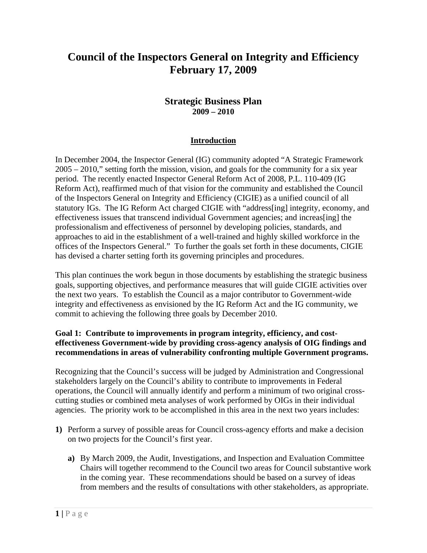# **Council of the Inspectors General on Integrity and Efficiency February 17, 2009**

# **Strategic Business Plan 2009 – 2010**

#### **Introduction**

In December 2004, the Inspector General (IG) community adopted "A Strategic Framework 2005 – 2010," setting forth the mission, vision, and goals for the community for a six year period. The recently enacted Inspector General Reform Act of 2008, P.L. 110-409 (IG Reform Act), reaffirmed much of that vision for the community and established the Council of the Inspectors General on Integrity and Efficiency (CIGIE) as a unified council of all statutory IGs. The IG Reform Act charged CIGIE with "address[ing] integrity, economy, and effectiveness issues that transcend individual Government agencies; and increas[ing] the professionalism and effectiveness of personnel by developing policies, standards, and approaches to aid in the establishment of a well-trained and highly skilled workforce in the offices of the Inspectors General." To further the goals set forth in these documents, CIGIE has devised a charter setting forth its governing principles and procedures.

This plan continues the work begun in those documents by establishing the strategic business goals, supporting objectives, and performance measures that will guide CIGIE activities over the next two years. To establish the Council as a major contributor to Government-wide integrity and effectiveness as envisioned by the IG Reform Act and the IG community, we commit to achieving the following three goals by December 2010.

#### **Goal 1: Contribute to improvements in program integrity, efficiency, and costeffectiveness Government-wide by providing cross-agency analysis of OIG findings and recommendations in areas of vulnerability confronting multiple Government programs.**

Recognizing that the Council's success will be judged by Administration and Congressional stakeholders largely on the Council's ability to contribute to improvements in Federal operations, the Council will annually identify and perform a minimum of two original crosscutting studies or combined meta analyses of work performed by OIGs in their individual agencies. The priority work to be accomplished in this area in the next two years includes:

- **1)** Perform a survey of possible areas for Council cross-agency efforts and make a decision on two projects for the Council's first year.
	- **a)** By March 2009, the Audit, Investigations, and Inspection and Evaluation Committee Chairs will together recommend to the Council two areas for Council substantive work in the coming year. These recommendations should be based on a survey of ideas from members and the results of consultations with other stakeholders, as appropriate.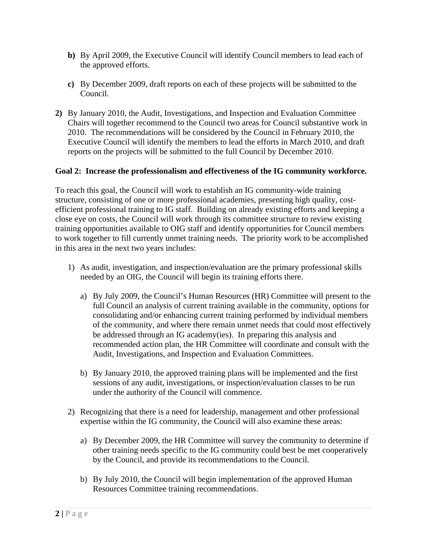- **b)** By April 2009, the Executive Council will identify Council members to lead each of the approved efforts.
- **c)** By December 2009, draft reports on each of these projects will be submitted to the Council.
- **2)** By January 2010, the Audit, Investigations, and Inspection and Evaluation Committee Chairs will together recommend to the Council two areas for Council substantive work in 2010. The recommendations will be considered by the Council in February 2010, the Executive Council will identify the members to lead the efforts in March 2010, and draft reports on the projects will be submitted to the full Council by December 2010.

#### **Goal 2: Increase the professionalism and effectiveness of the IG community workforce.**

To reach this goal, the Council will work to establish an IG community-wide training structure, consisting of one or more professional academies, presenting high quality, costefficient professional training to IG staff. Building on already existing efforts and keeping a close eye on costs, the Council will work through its committee structure to review existing training opportunities available to OIG staff and identify opportunities for Council members to work together to fill currently unmet training needs. The priority work to be accomplished in this area in the next two years includes:

- 1) As audit, investigation, and inspection/evaluation are the primary professional skills needed by an OIG, the Council will begin its training efforts there.
	- a) By July 2009, the Council's Human Resources (HR) Committee will present to the full Council an analysis of current training available in the community, options for consolidating and/or enhancing current training performed by individual members of the community, and where there remain unmet needs that could most effectively be addressed through an IG academy(ies). In preparing this analysis and recommended action plan, the HR Committee will coordinate and consult with the Audit, Investigations, and Inspection and Evaluation Committees.
	- b) By January 2010, the approved training plans will be implemented and the first sessions of any audit, investigations, or inspection/evaluation classes to be run under the authority of the Council will commence.
- 2) Recognizing that there is a need for leadership, management and other professional expertise within the IG community, the Council will also examine these areas:
	- a) By December 2009, the HR Committee will survey the community to determine if other training needs specific to the IG community could best be met cooperatively by the Council, and provide its recommendations to the Council.
	- b) By July 2010, the Council will begin implementation of the approved Human Resources Committee training recommendations.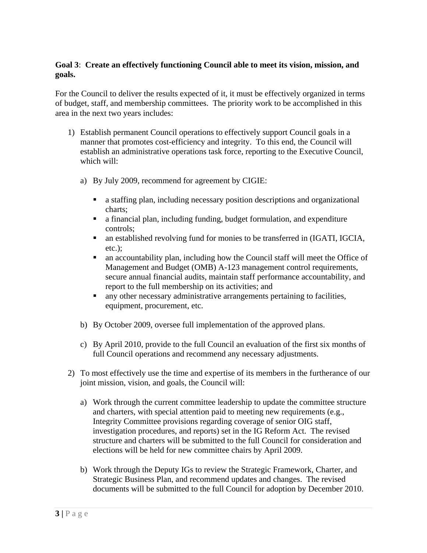## **Goal 3**: **Create an effectively functioning Council able to meet its vision, mission, and goals.**

For the Council to deliver the results expected of it, it must be effectively organized in terms of budget, staff, and membership committees. The priority work to be accomplished in this area in the next two years includes:

- 1) Establish permanent Council operations to effectively support Council goals in a manner that promotes cost-efficiency and integrity. To this end, the Council will establish an administrative operations task force, reporting to the Executive Council, which will:
	- a) By July 2009, recommend for agreement by CIGIE:
		- a staffing plan, including necessary position descriptions and organizational charts;
		- a financial plan, including funding, budget formulation, and expenditure controls;
		- an established revolving fund for monies to be transferred in (IGATI, IGCIA, etc.);
		- an accountability plan, including how the Council staff will meet the Office of Management and Budget (OMB) A-123 management control requirements, secure annual financial audits, maintain staff performance accountability, and report to the full membership on its activities; and
		- any other necessary administrative arrangements pertaining to facilities, equipment, procurement, etc.
	- b) By October 2009, oversee full implementation of the approved plans.
	- c) By April 2010, provide to the full Council an evaluation of the first six months of full Council operations and recommend any necessary adjustments.
- 2) To most effectively use the time and expertise of its members in the furtherance of our joint mission, vision, and goals, the Council will:
	- a) Work through the current committee leadership to update the committee structure and charters, with special attention paid to meeting new requirements (e.g., Integrity Committee provisions regarding coverage of senior OIG staff, investigation procedures, and reports) set in the IG Reform Act. The revised structure and charters will be submitted to the full Council for consideration and elections will be held for new committee chairs by April 2009.
	- b) Work through the Deputy IGs to review the Strategic Framework, Charter, and Strategic Business Plan, and recommend updates and changes. The revised documents will be submitted to the full Council for adoption by December 2010.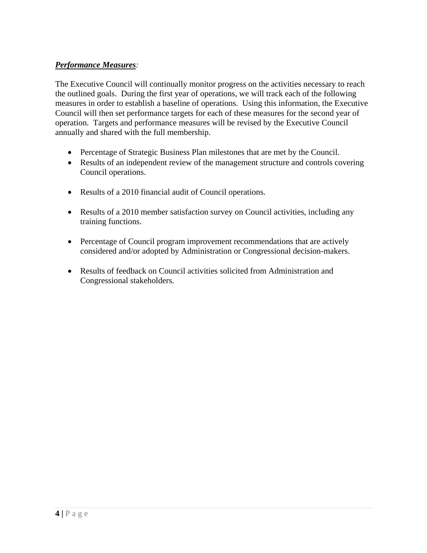# *Performance Measures:*

The Executive Council will continually monitor progress on the activities necessary to reach the outlined goals. During the first year of operations, we will track each of the following measures in order to establish a baseline of operations. Using this information, the Executive Council will then set performance targets for each of these measures for the second year of operation. Targets and performance measures will be revised by the Executive Council annually and shared with the full membership.

- Percentage of Strategic Business Plan milestones that are met by the Council.
- Results of an independent review of the management structure and controls covering Council operations.
- Results of a 2010 financial audit of Council operations.
- Results of a 2010 member satisfaction survey on Council activities, including any training functions.
- Percentage of Council program improvement recommendations that are actively considered and/or adopted by Administration or Congressional decision-makers.
- Results of feedback on Council activities solicited from Administration and Congressional stakeholders.